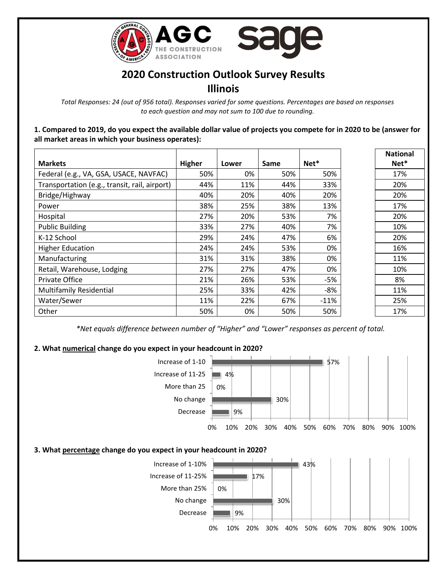

# **2020 Construction Outlook Survey Results Illinois**

*Total Responses: 24 (out of 956 total). Responses varied for some questions. Percentages are based on responses to each question and may not sum to 100 due to rounding.*

**1. Compared to 2019, do you expect the available dollar value of projects you compete for in 2020 to be (answer for all market areas in which your business operates):**

| <b>Markets</b>                                | <b>Higher</b> | Lower | Same | Net*   | <b>Natior</b><br>Net <sup>*</sup> |
|-----------------------------------------------|---------------|-------|------|--------|-----------------------------------|
| Federal (e.g., VA, GSA, USACE, NAVFAC)        | 50%           | 0%    | 50%  | 50%    | 17%                               |
| Transportation (e.g., transit, rail, airport) | 44%           | 11%   | 44%  | 33%    | 20%                               |
| Bridge/Highway                                | 40%           | 20%   | 40%  | 20%    | 20%                               |
| Power                                         | 38%           | 25%   | 38%  | 13%    | 17%                               |
| Hospital                                      | 27%           | 20%   | 53%  | 7%     | 20%                               |
| <b>Public Building</b>                        | 33%           | 27%   | 40%  | 7%     | 10%                               |
| K-12 School                                   | 29%           | 24%   | 47%  | 6%     | 20%                               |
| <b>Higher Education</b>                       | 24%           | 24%   | 53%  | 0%     | 16%                               |
| Manufacturing                                 | 31%           | 31%   | 38%  | 0%     | 11%                               |
| Retail, Warehouse, Lodging                    | 27%           | 27%   | 47%  | 0%     | 10%                               |
| Private Office                                | 21%           | 26%   | 53%  | $-5%$  | 8%                                |
| <b>Multifamily Residential</b>                | 25%           | 33%   | 42%  | $-8%$  | 11%                               |
| Water/Sewer                                   | 11%           | 22%   | 67%  | $-11%$ | 25%                               |
| Other                                         | 50%           | 0%    | 50%  | 50%    | 17%                               |

**National Net\***

*\*Net equals difference between number of "Higher" and "Lower" responses as percent of total.*

### **2. What numerical change do you expect in your headcount in 2020?**

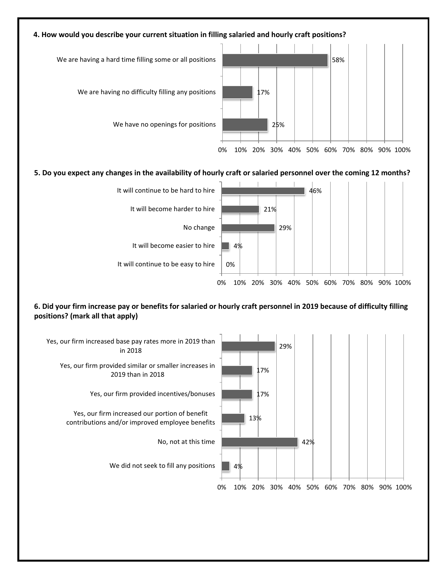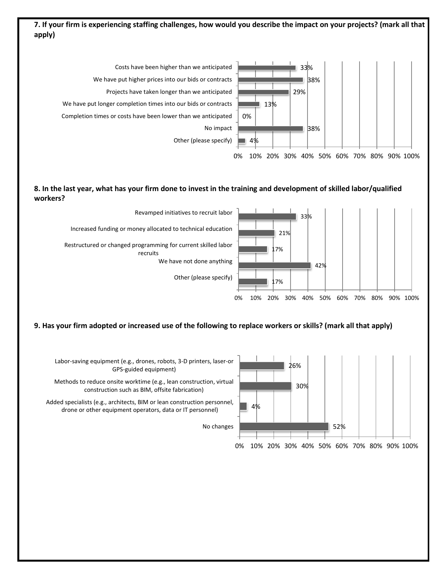# **7. If your firm is experiencing staffing challenges, how would you describe the impact on your projects? (mark all that apply)**



#### **8. In the last year, what has your firm done to invest in the training and development of skilled labor/qualified workers?**



#### **9. Has your firm adopted or increased use of the following to replace workers or skills? (mark all that apply)**

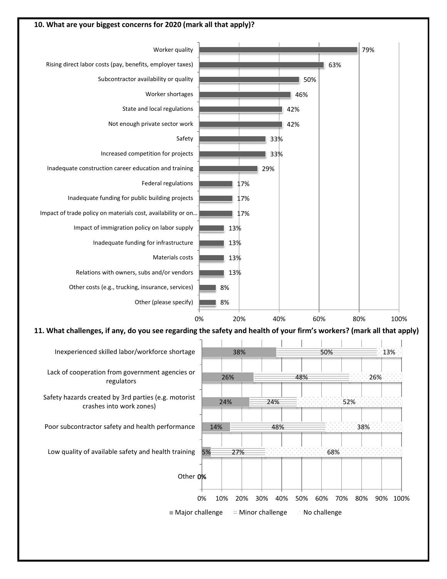

Safety hazards created by 3rd parties (e.g. motorist crashes into work zones)

Poor subcontractor safety and health performance

Low quality of available safety and health training

Other **0%** 

5%

14%

24%

27%

 $\blacksquare$  Major challenge  $\blacksquare$  Minor challenge  $\blacksquare$  No challenge

48%

68%

0% 10% 20% 30% 40% 50% 60% 70% 80% 90% 100%

38%

52%

24%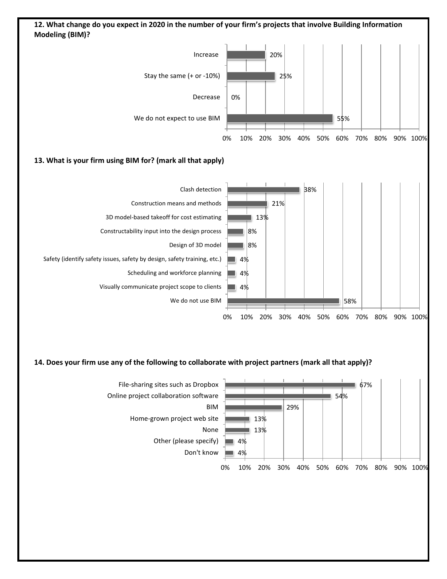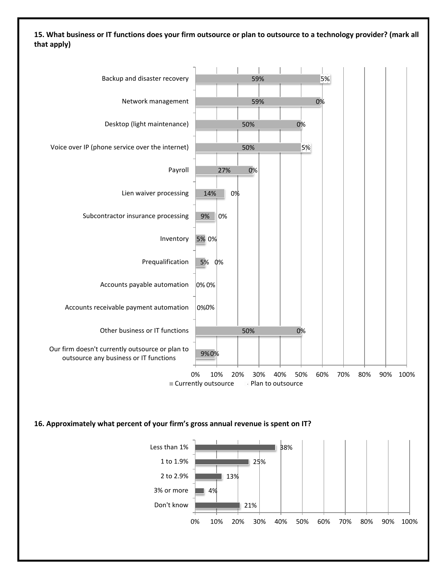**15. What business or IT functions does your firm outsource or plan to outsource to a technology provider? (mark all that apply)**



#### **16. Approximately what percent of your firm's gross annual revenue is spent on IT?**

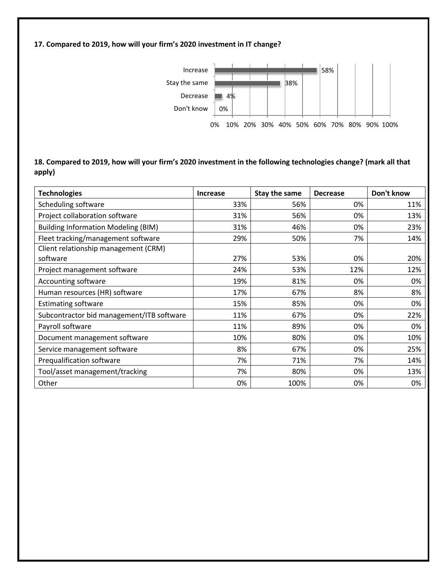### **17. Compared to 2019, how will your firm's 2020 investment in IT change?**



## **18. Compared to 2019, how will your firm's 2020 investment in the following technologies change? (mark all that apply)**

| <b>Technologies</b>                        | <b>Increase</b> | Stay the same | <b>Decrease</b> | Don't know |
|--------------------------------------------|-----------------|---------------|-----------------|------------|
| Scheduling software                        | 33%             | 56%           | 0%              | 11%        |
| Project collaboration software             | 31%             | 56%           | 0%              | 13%        |
| <b>Building Information Modeling (BIM)</b> | 31%             | 46%           | 0%              | 23%        |
| Fleet tracking/management software         | 29%             | 50%           | 7%              | 14%        |
| Client relationship management (CRM)       |                 |               |                 |            |
| software                                   | 27%             | 53%           | 0%              | 20%        |
| Project management software                | 24%             | 53%           | 12%             | 12%        |
| Accounting software                        | 19%             | 81%           | 0%              | 0%         |
| Human resources (HR) software              | 17%             | 67%           | 8%              | 8%         |
| <b>Estimating software</b>                 | 15%             | 85%           | 0%              | 0%         |
| Subcontractor bid management/ITB software  | 11%             | 67%           | 0%              | 22%        |
| Payroll software                           | 11%             | 89%           | 0%              | 0%         |
| Document management software               | 10%             | 80%           | 0%              | 10%        |
| Service management software                | 8%              | 67%           | 0%              | 25%        |
| Prequalification software                  | 7%              | 71%           | 7%              | 14%        |
| Tool/asset management/tracking             | 7%              | 80%           | 0%              | 13%        |
| Other                                      | 0%              | 100%          | 0%              | 0%         |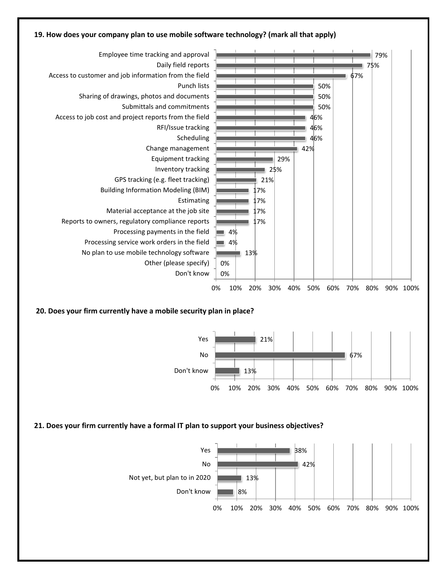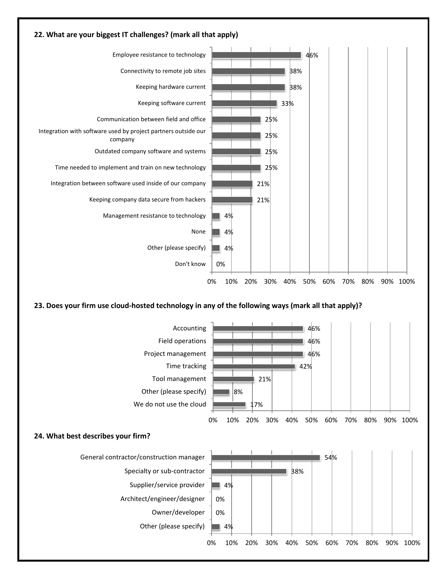